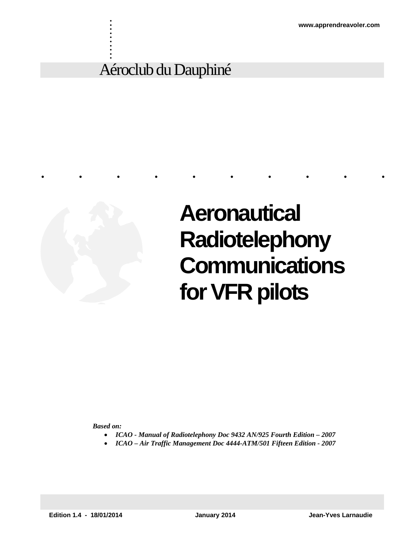## Aéroclub du Dauphiné



. . . . . . . . . .

# **Aeronautical Radiotelephony Communications for VFR pilots**

*Based on:* 

*ICAO - Manual of Radiotelephony Doc 9432 AN/925 Fourth Edition – 2007* 

..........

*ICAO – Air Traffic Management Doc 4444-ATM/501 Fifteen Edition - 2007*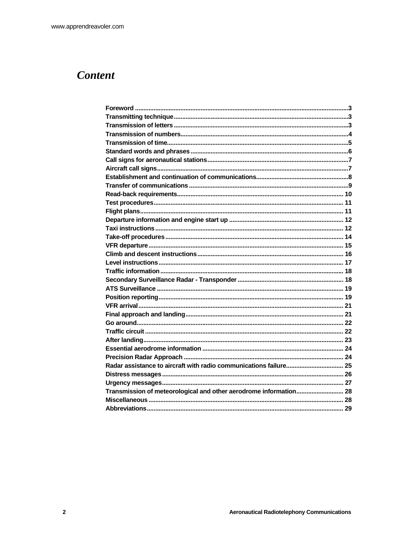### **Content**

| Transmission of meteorological and other aerodrome information 28 |  |
|-------------------------------------------------------------------|--|
|                                                                   |  |
|                                                                   |  |
|                                                                   |  |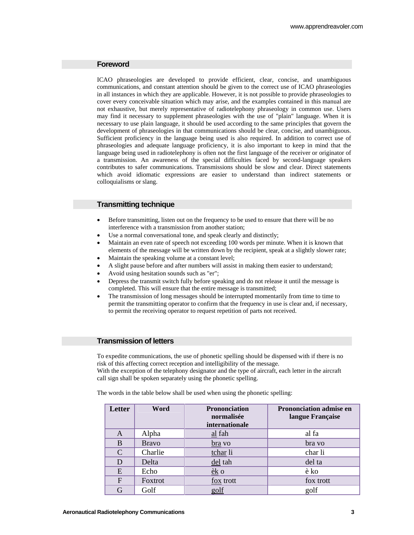#### **Foreword**

ICAO phraseologies are developed to provide efficient, clear, concise, and unambiguous communications, and constant attention should be given to the correct use of ICAO phraseologies in all instances in which they are applicable. However, it is not possible to provide phraseologies to cover every conceivable situation which may arise, and the examples contained in this manual are not exhaustive, but merely representative of radiotelephony phraseology in common use. Users may find it necessary to supplement phraseologies with the use of "plain" language. When it is necessary to use plain language, it should be used according to the same principles that govern the development of phraseologies in that communications should be clear, concise, and unambiguous. Sufficient proficiency in the language being used is also required. In addition to correct use of phraseologies and adequate language proficiency, it is also important to keep in mind that the language being used in radiotelephony is often not the first language of the receiver or originator of a transmission. An awareness of the special difficulties faced by second-language speakers contributes to safer communications. Transmissions should be slow and clear. Direct statements which avoid idiomatic expressions are easier to understand than indirect statements or colloquialisms or slang.

#### **Transmitting technique**

- Before transmitting, listen out on the frequency to be used to ensure that there will be no interference with a transmission from another station;
- Use a normal conversational tone, and speak clearly and distinctly;
- Maintain an even rate of speech not exceeding 100 words per minute. When it is known that elements of the message will be written down by the recipient, speak at a slightly slower rate;
- Maintain the speaking volume at a constant level;
- A slight pause before and after numbers will assist in making them easier to understand;
- Avoid using hesitation sounds such as "er";
- Depress the transmit switch fully before speaking and do not release it until the message is completed. This will ensure that the entire message is transmitted;
- The transmission of long messages should be interrupted momentarily from time to time to permit the transmitting operator to confirm that the frequency in use is clear and, if necessary, to permit the receiving operator to request repetition of parts not received.

#### **Transmission of letters**

To expedite communications, the use of phonetic spelling should be dispensed with if there is no risk of this affecting correct reception and intelligibility of the message.

With the exception of the telephony designator and the type of aircraft, each letter in the aircraft call sign shall be spoken separately using the phonetic spelling.

The words in the table below shall be used when using the phonetic spelling:

| <b>Letter</b> | Word         | <b>Prononciation</b><br>normalisée<br><i>internationale</i> | <b>Prononciation admise en</b><br>langue Française |
|---------------|--------------|-------------------------------------------------------------|----------------------------------------------------|
| A             | Alpha        | $al$ fah                                                    | al fa                                              |
| B             | <b>Bravo</b> | <u>bra</u> vo                                               | bra vo                                             |
| $\mathcal{C}$ | Charlie      | tchar li                                                    | char li                                            |
| D             | Delta        | del tah                                                     | del ta                                             |
| E             | Echo         | $ek$ o                                                      | è ko                                               |
| $\mathbf F$   | Foxtrot      | fox trott                                                   | fox trott                                          |
| G             | Golf         | golf                                                        | golf                                               |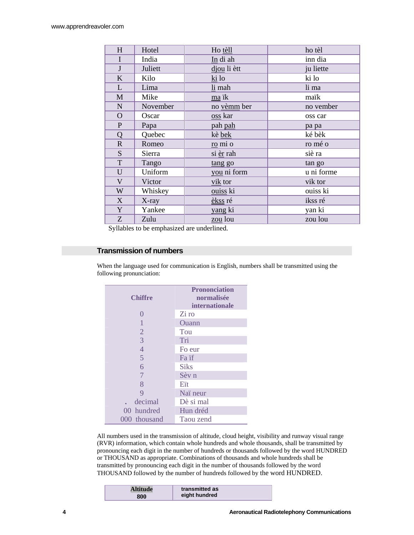| H            | Hotel    | Ho tèll        | ho tèl     |
|--------------|----------|----------------|------------|
| $\mathbf I$  | India    | In di ah       | inn dia    |
| $\bf J$      | Juliett  | djou li ètt    | ju liette  |
| K            | Kilo     | ki lo          | ki lo      |
| L            | Lima     | li mah         | li ma      |
| $\mathbf{M}$ | Mike     | ma ik          | maïk       |
| N            | November | no vèmm ber    | no vember  |
| $\mathbf{O}$ | Oscar    | <u>oss</u> kar | oss car    |
| ${\bf P}$    | Papa     | pah pah        | pa pa      |
| Q            | Quebec   | kè bek         | ké bèk     |
| $\mathbf R$  | Romeo    | ro mi o        | ro mé o    |
| ${\bf S}$    | Sierra   | si èr rah      | siè ra     |
| $\mathbf T$  | Tango    | tang go        | tan go     |
| U            | Uniform  | you ni form    | u ni forme |
| $\mathbf V$  | Victor   | vik tor        | vik tor    |
| W            | Whiskey  | ouiss ki       | ouiss ki   |
| X            | $X$ -ray | èkss ré        | ikss ré    |
| Y            | Yankee   | yang ki        | yan ki     |
| Z            | Zulu     | zou lou        | zou lou    |

Syllables to be emphasized are underlined.

#### **Transmission of numbers**

When the language used for communication is English, numbers shall be transmitted using the following pronunciation:

| <b>Chiffre</b> | <b>Prononciation</b><br>normalisée<br><b>internationale</b> |
|----------------|-------------------------------------------------------------|
| 0              | Zi ro                                                       |
|                | <b>Ouann</b>                                                |
| $\overline{2}$ | Tou                                                         |
| $\overline{3}$ | Tri                                                         |
| $\overline{4}$ | Fo eur                                                      |
| 5              | Fa if                                                       |
| 6              | <b>Siks</b>                                                 |
| 7              | Sèv n                                                       |
| 8              | Eït                                                         |
| 9              | Naï neur                                                    |
| decimal        | Dè si mal                                                   |
| 00 hundred     | Hun dréd                                                    |
| 000 thousand   | Taou zend                                                   |

All numbers used in the transmission of altitude, cloud height, visibility and runway visual range (RVR) information, which contain whole hundreds and whole thousands, shall be transmitted by pronouncing each digit in the number of hundreds or thousands followed by the word HUNDRED or THOUSAND as appropriate. Combinations of thousands and whole hundreds shall be transmitted by pronouncing each digit in the number of thousands followed by the word THOUSAND followed by the number of hundreds followed by the word HUNDRED.

| <b>Altitude</b> | transmitted as |
|-----------------|----------------|
| 800             | eight hundred  |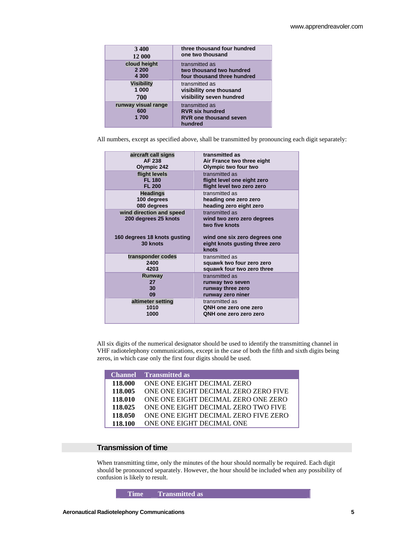| 3400                               | three thousand four hundred                                                          |
|------------------------------------|--------------------------------------------------------------------------------------|
| 12 000                             | one two thousand                                                                     |
| cloud height                       | transmitted as                                                                       |
| 2 2 0 0                            | two thousand two hundred                                                             |
| 4 300                              | four thousand three hundred                                                          |
| <b>Visibility</b>                  | transmitted as                                                                       |
| 1 000                              | visibility one thousand                                                              |
| 700                                | visibility seven hundred                                                             |
| runway visual range<br>600<br>1700 | transmitted as<br><b>RVR six hundred</b><br><b>RVR one thousand seven</b><br>hundred |

All numbers, except as specified above, shall be transmitted by pronouncing each digit separately:

| aircraft call signs                              | transmitted as                                                           |
|--------------------------------------------------|--------------------------------------------------------------------------|
| AF 238                                           | Air France two three eight                                               |
| Olympic 242                                      | Olympic two four two                                                     |
| flight levels                                    | transmitted as                                                           |
| <b>FL 180</b>                                    | flight level one eight zero                                              |
| <b>FL 200</b>                                    | flight level two zero zero                                               |
| <b>Headings</b>                                  | transmitted as                                                           |
| 100 degrees                                      | heading one zero zero                                                    |
| 080 degrees                                      | heading zero eight zero                                                  |
| wind direction and speed<br>200 degrees 25 knots | transmitted as<br>wind two zero zero degrees<br>two five knots           |
| 160 degrees 18 knots gusting<br>30 knots         | wind one six zero degrees one<br>eight knots gusting three zero<br>knots |
| transponder codes                                | transmitted as                                                           |
| 2400                                             | squawk two four zero zero                                                |
| 4203                                             | squawk four two zero three                                               |
| Runway                                           | transmitted as                                                           |
| 27                                               | runway two seven                                                         |
| 30                                               | runway three zero                                                        |
| 09                                               | runway zero niner                                                        |
| altimeter setting                                | transmitted as                                                           |
| 1010                                             | QNH one zero one zero                                                    |
| 1000                                             | QNH one zero zero zero                                                   |

All six digits of the numerical designator should be used to identify the transmitting channel in VHF radiotelephony communications, except in the case of both the fifth and sixth digits being zeros, in which case only the first four digits should be used.

|         | <b>Channel</b> Transmitted as        |
|---------|--------------------------------------|
| 118.000 | ONE ONE EIGHT DECIMAL ZERO           |
| 118.005 | ONE ONE EIGHT DECIMAL ZERO ZERO FIVE |
| 118.010 | ONE ONE EIGHT DECIMAL ZERO ONE ZERO  |
| 118.025 | ONE ONE EIGHT DECIMAL ZERO TWO FIVE  |
| 118.050 | ONE ONE EIGHT DECIMAL ZERO FIVE ZERO |
| 118.100 | ONE ONE EIGHT DECIMAL ONE            |

#### **Transmission of time**

When transmitting time, only the minutes of the hour should normally be required. Each digit should be pronounced separately. However, the hour should be included when any possibility of confusion is likely to result.

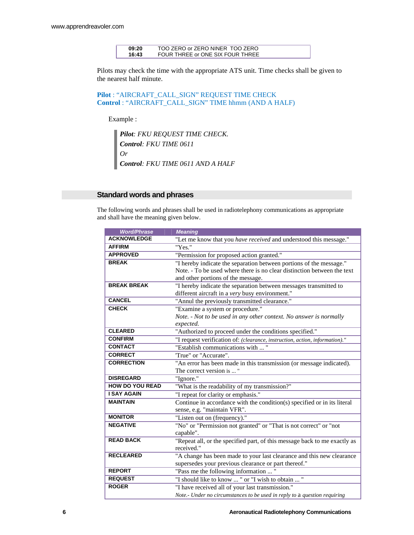| 09:20 | TOO ZERO or ZERO NINER TOO ZERO  |
|-------|----------------------------------|
| 16:43 | FOUR THREE or ONE SIX FOUR THREE |

Pilots may check the time with the appropriate ATS unit. Time checks shall be given to the nearest half minute.

**Pilot** : "AIRCRAFT\_CALL\_SIGN" REQUEST TIME CHECK **Control** : "AIRCRAFT\_CALL\_SIGN" TIME hhmm (AND A HALF)

Example :

*Pilot: FKU REQUEST TIME CHECK. Control: FKU TIME 0611 Or Control: FKU TIME 0611 AND A HALF* 

#### **Standard words and phrases**

The following words and phrases shall be used in radiotelephony communications as appropriate and shall have the meaning given below.

| <b>Word/Phrase</b>     | <b>Meaning</b>                                                              |  |
|------------------------|-----------------------------------------------------------------------------|--|
| <b>ACKNOWLEDGE</b>     | "Let me know that you have received and understood this message."           |  |
| <b>AFFIRM</b>          | "Yes."                                                                      |  |
| <b>APPROVED</b>        | "Permission for proposed action granted."                                   |  |
| <b>BREAK</b>           | "I hereby indicate the separation between portions of the message."         |  |
|                        | Note. - To be used where there is no clear distinction between the text     |  |
|                        | and other portions of the message.                                          |  |
| <b>BREAK BREAK</b>     | "I hereby indicate the separation between messages transmitted to           |  |
|                        | different aircraft in a very busy environment."                             |  |
| <b>CANCEL</b>          | "Annul the previously transmitted clearance."                               |  |
| <b>CHECK</b>           | "Examine a system or procedure."                                            |  |
|                        | Note. - Not to be used in any other context. No answer is normally          |  |
|                        | expected.                                                                   |  |
| <b>CLEARED</b>         | "Authorized to proceed under the conditions specified."                     |  |
| <b>CONFIRM</b>         | "I request verification of: (clearance, instruction, action, information)." |  |
| <b>CONTACT</b>         | "Establish communications with "                                            |  |
| <b>CORRECT</b>         | "True" or "Accurate".                                                       |  |
| <b>CORRECTION</b>      | "An error has been made in this transmission (or message indicated).        |  |
|                        | The correct version is  "                                                   |  |
| <b>DISREGARD</b>       | "Ignore."                                                                   |  |
| <b>HOW DO YOU READ</b> | "What is the readability of my transmission?"                               |  |
| <b>I SAY AGAIN</b>     | "I repeat for clarity or emphasis."                                         |  |
| <b>MAINTAIN</b>        | Continue in accordance with the condition(s) specified or in its literal    |  |
|                        | sense, e.g. "maintain VFR".                                                 |  |
| <b>MONITOR</b>         | "Listen out on (frequency)."                                                |  |
| <b>NEGATIVE</b>        | "No" or "Permission not granted" or "That is not correct" or "not           |  |
|                        | capable".                                                                   |  |
| <b>READ BACK</b>       | "Repeat all, or the specified part, of this message back to me exactly as   |  |
|                        | received."                                                                  |  |
| <b>RECLEARED</b>       | "A change has been made to your last clearance and this new clearance       |  |
|                        | supersedes your previous clearance or part thereof."                        |  |
| <b>REPORT</b>          | "Pass me the following information  "                                       |  |
| <b>REQUEST</b>         | "I should like to know  " or "I wish to obtain  "                           |  |
| <b>ROGER</b>           | "I have received all of your last transmission."                            |  |
|                        | Note.- Under no circumstances to be used in reply to a question requiring   |  |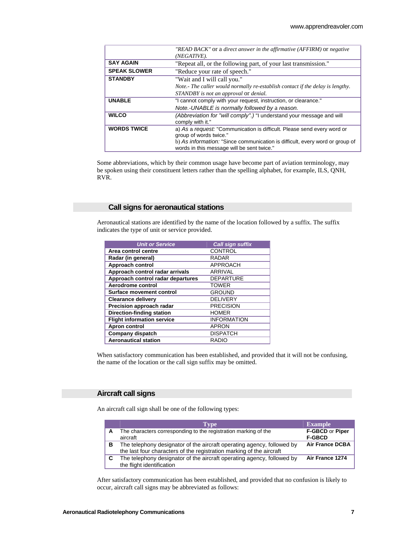|                     | "READ BACK" or a direct answer in the affirmative (AFFIRM) or negative                                                                                                                                                                 |  |
|---------------------|----------------------------------------------------------------------------------------------------------------------------------------------------------------------------------------------------------------------------------------|--|
|                     | (NEGATIVE).                                                                                                                                                                                                                            |  |
| <b>SAY AGAIN</b>    | "Repeat all, or the following part, of your last transmission."                                                                                                                                                                        |  |
| <b>SPEAK SLOWER</b> | "Reduce your rate of speech."                                                                                                                                                                                                          |  |
| <b>STANDBY</b>      | "Wait and I will call you."                                                                                                                                                                                                            |  |
|                     | Note.- The caller would normally re-establish contact if the delay is lengthy.                                                                                                                                                         |  |
|                     | STANDBY is not an approval or denial.                                                                                                                                                                                                  |  |
| <b>UNABLE</b>       | "I cannot comply with your request, instruction, or clearance."                                                                                                                                                                        |  |
|                     | Note.-UNABLE is normally followed by a reason.                                                                                                                                                                                         |  |
| <b>WILCO</b>        | (Abbreviation for "will comply".) "I understand your message and will<br>comply with it."                                                                                                                                              |  |
| <b>WORDS TWICE</b>  | a) As a request: "Communication is difficult. Please send every word or<br>group of words twice."<br>b) As <i>information:</i> "Since communication is difficult, every word or group of<br>words in this message will be sent twice." |  |

Some abbreviations, which by their common usage have become part of aviation terminology, may be spoken using their constituent letters rather than the spelling alphabet, for example, ILS, QNH, RVR.

#### **Call signs for aeronautical stations**

Aeronautical stations are identified by the name of the location followed by a suffix. The suffix indicates the type of unit or service provided.

| <b>Unit or Service</b>            | <b>Call sign suffix</b> |
|-----------------------------------|-------------------------|
| Area control centre               | <b>CONTROL</b>          |
| Radar (in general)                | <b>RADAR</b>            |
| Approach control                  | <b>APPROACH</b>         |
| Approach control radar arrivals   | <b>ARRIVAL</b>          |
| Approach control radar departures | <b>DEPARTURE</b>        |
| Aerodrome control                 | <b>TOWER</b>            |
| Surface movement control          | <b>GROUND</b>           |
| <b>Clearance delivery</b>         | <b>DELIVERY</b>         |
| Precision approach radar          | <b>PRECISION</b>        |
| <b>Direction-finding station</b>  | <b>HOMER</b>            |
| <b>Flight information service</b> | <b>INFORMATION</b>      |
| Apron control                     | <b>APRON</b>            |
| <b>Company dispatch</b>           | <b>DISPATCH</b>         |
| <b>Aeronautical station</b>       | <b>RADIO</b>            |

When satisfactory communication has been established, and provided that it will not be confusing, the name of the location or the call sign suffix may be omitted.

#### **Aircraft call signs**

An aircraft call sign shall be one of the following types:

|   | <b>Type</b>                                                                                                                                    | <b>Example</b>                   |
|---|------------------------------------------------------------------------------------------------------------------------------------------------|----------------------------------|
|   | The characters corresponding to the registration marking of the<br>aircraft                                                                    | F-GBCD or Piper<br><b>F-GBCD</b> |
| в | The telephony designator of the aircraft operating agency, followed by<br>the last four characters of the registration marking of the aircraft | <b>Air France DCBA</b>           |
|   | The telephony designator of the aircraft operating agency, followed by<br>the flight identification                                            | Air France 1274                  |

After satisfactory communication has been established, and provided that no confusion is likely to occur, aircraft call signs may be abbreviated as follows: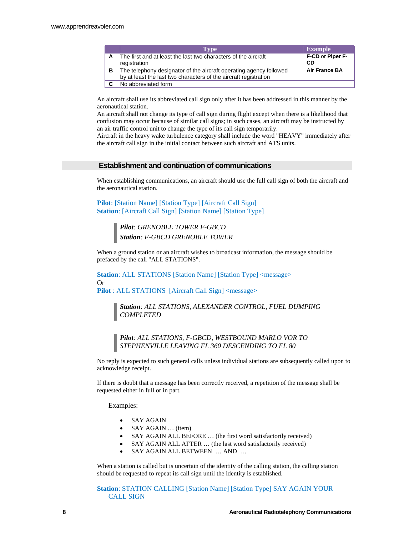|   | <b>Type</b>                                                                                                                            | <b>Example</b>         |
|---|----------------------------------------------------------------------------------------------------------------------------------------|------------------------|
| A | The first and at least the last two characters of the aircraft<br>registration                                                         | F-CD or Piper F-<br>СD |
| в | The telephony designator of the aircraft operating agency followed<br>by at least the last two characters of the aircraft registration | <b>Air France BA</b>   |
|   | No abbreviated form                                                                                                                    |                        |

An aircraft shall use its abbreviated call sign only after it has been addressed in this manner by the aeronautical station.

An aircraft shall not change its type of call sign during flight except when there is a likelihood that confusion may occur because of similar call signs; in such cases, an aircraft may be instructed by an air traffic control unit to change the type of its call sign temporarily.

Aircraft in the heavy wake turbulence category shall include the word "HEAVY" immediately after the aircraft call sign in the initial contact between such aircraft and ATS units.

#### **Establishment and continuation of communications**

When establishing communications, an aircraft should use the full call sign of both the aircraft and the aeronautical station.

**Pilot**: [Station Name] [Station Type] [Aircraft Call Sign] **Station**: [Aircraft Call Sign] [Station Name] [Station Type]

> *Pilot: GRENOBLE TOWER F-GBCD Station: F-GBCD GRENOBLE TOWER*

When a ground station or an aircraft wishes to broadcast information, the message should be prefaced by the call "ALL STATIONS".

**Station: ALL STATIONS [Station Name] [Station Type] <message>** Or

**Pilot** : ALL STATIONS [Aircraft Call Sign] <message>

*Station: ALL STATIONS, ALEXANDER CONTROL, FUEL DUMPING COMPLETED* 

*Pilot: ALL STATIONS, F-GBCD, WESTBOUND MARLO VOR TO STEPHENVILLE LEAVING FL 360 DESCENDING TO FL 80* 

No reply is expected to such general calls unless individual stations are subsequently called upon to acknowledge receipt.

If there is doubt that a message has been correctly received, a repetition of the message shall be requested either in full or in part.

Examples:

- SAY AGAIN
- SAY AGAIN … (item)
- SAY AGAIN ALL BEFORE … (the first word satisfactorily received)
- SAY AGAIN ALL AFTER … (the last word satisfactorily received)
- SAY AGAIN ALL BETWEEN … AND …

When a station is called but is uncertain of the identity of the calling station, the calling station should be requested to repeat its call sign until the identity is established.

**Station**: STATION CALLING [Station Name] [Station Type] SAY AGAIN YOUR CALL SIGN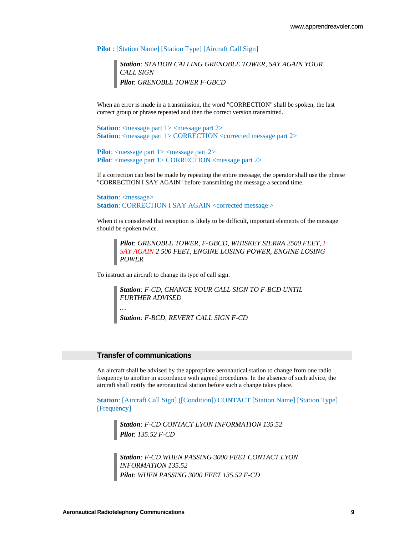**Pilot** : [Station Name] [Station Type] [Aircraft Call Sign]

*Station: STATION CALLING GRENOBLE TOWER, SAY AGAIN YOUR CALL SIGN Pilot: GRENOBLE TOWER F-GBCD* 

When an error is made in a transmission, the word "CORRECTION" shall be spoken, the last correct group or phrase repeated and then the correct version transmitted.

**Station**: <message part 1> <message part 2> **Station:** <message part 1> CORRECTION <corrected message part 2>

**Pilot**: <message part 1> <message part 2> **Pilot**: <message part 1> CORRECTION <message part 2>

If a correction can best be made by repeating the entire message, the operator shall use the phrase "CORRECTION I SAY AGAIN" before transmitting the message a second time.

**Station**: <*message>* **Station: CORRECTION I SAY AGAIN <corrected message >** 

When it is considered that reception is likely to be difficult, important elements of the message should be spoken twice.

*Pilot: GRENOBLE TOWER, F-GBCD, WHISKEY SIERRA 2500 FEET, I SAY AGAIN 2 500 FEET, ENGINE LOSING POWER, ENGINE LOSING POWER* 

To instruct an aircraft to change its type of call sign.

*Station: F-CD, CHANGE YOUR CALL SIGN TO F-BCD UNTIL FURTHER ADVISED … Station: F-BCD, REVERT CALL SIGN F-CD* 

#### **Transfer of communications**

An aircraft shall be advised by the appropriate aeronautical station to change from one radio frequency to another in accordance with agreed procedures. In the absence of such advice, the aircraft shall notify the aeronautical station before such a change takes place.

**Station**: [Aircraft Call Sign] ([Condition]) CONTACT [Station Name] [Station Type] [Frequency]

*Station: F-CD CONTACT LYON INFORMATION 135.52 Pilot: 135.52 F-CD* 

*Station: F-CD WHEN PASSING 3000 FEET CONTACT LYON INFORMATION 135.52 Pilot: WHEN PASSING 3000 FEET 135.52 F-CD*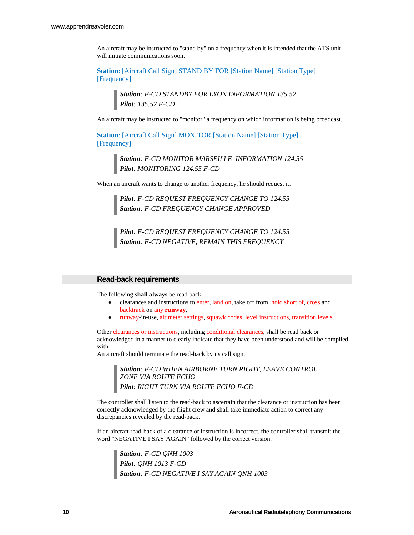An aircraft may be instructed to "stand by" on a frequency when it is intended that the ATS unit will initiate communications soon.

**Station**: [Aircraft Call Sign] STAND BY FOR [Station Name] [Station Type] [Frequency]

> *Station: F-CD STANDBY FOR LYON INFORMATION 135.52 Pilot: 135.52 F-CD*

An aircraft may be instructed to "monitor" a frequency on which information is being broadcast.

**Station**: [Aircraft Call Sign] MONITOR [Station Name] [Station Type] [Frequency]

> *Station: F-CD MONITOR MARSEILLE INFORMATION 124.55 Pilot: MONITORING 124.55 F-CD*

When an aircraft wants to change to another frequency, he should request it.

*Pilot: F-CD REQUEST FREQUENCY CHANGE TO 124.55 Station: F-CD FREQUENCY CHANGE APPROVED* 

*Pilot: F-CD REQUEST FREQUENCY CHANGE TO 124.55 Station: F-CD NEGATIVE, REMAIN THIS FREQUENCY* 

#### **Read-back requirements**

The following **shall always** be read back:

- clearances and instructions to enter, land on, take off from, hold short of, cross and backtrack on any **runway**,
- runway-in-use, altimeter settings, squawk codes, level instructions, transition levels.

Other clearances or instructions, including conditional clearances, shall be read back or acknowledged in a manner to clearly indicate that they have been understood and will be complied with.

An aircraft should terminate the read-back by its call sign.

*Station: F-CD WHEN AIRBORNE TURN RIGHT, LEAVE CONTROL ZONE VIA ROUTE ECHO Pilot: RIGHT TURN VIA ROUTE ECHO F-CD* 

The controller shall listen to the read-back to ascertain that the clearance or instruction has been correctly acknowledged by the flight crew and shall take immediate action to correct any discrepancies revealed by the read-back.

If an aircraft read-back of a clearance or instruction is incorrect, the controller shall transmit the word "NEGATIVE I SAY AGAIN" followed by the correct version.

*Station: F-CD QNH 1003 Pilot: QNH 1013 F-CD Station: F-CD NEGATIVE I SAY AGAIN QNH 1003*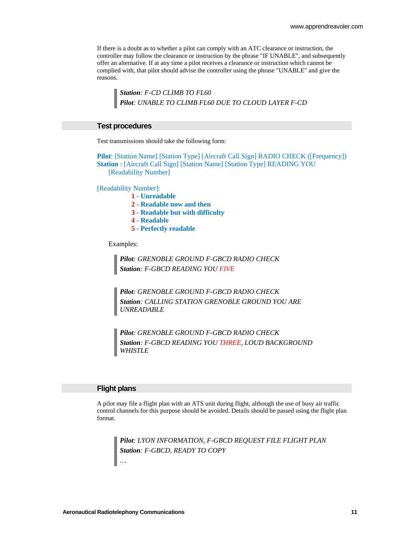If there is a doubt as to whether a pilot can comply with an ATC clearance or instruction, the controller may follow the clearance or instruction by the phrase "IF UNABLE", and subsequently offer an alternative. If at any time a pilot receives a clearance or instruction which cannot be complied with, that pilot should advise the controller using the phrase "UNABLE" and give the reasons.

*Station: F-CD CLIMB TO FL60 Pilot: UNABLE TO CLIMB FL60 DUE TO CLOUD LAYER F-CD* 

#### **Test procedures**

Test transmissions should take the following form:

**Pilot**: [Station Name] [Station Type] [Aircraft Call Sign] RADIO CHECK ([Frequency]) **Station** : [Aircraft Call Sign] [Station Name] [Station Type] READING YOU [Readability Number]

[Readability Number]:

- **1 Unreadable**
- **2 Readable now and then**
- **3 Readable but with difficulty**
- **4 Readable**
- **5 Perfectly readable**

Examples:

*Pilot: GRENOBLE GROUND F-GBCD RADIO CHECK Station: F-GBCD READING YOU FIVE*

*Pilot: GRENOBLE GROUND F-GBCD RADIO CHECK Station: CALLING STATION GRENOBLE GROUND YOU ARE UNREADABLE* 

*Pilot: GRENOBLE GROUND F-GBCD RADIO CHECK Station: F-GBCD READING YOU THREE, LOUD BACKGROUND WHISTLE* 

#### **Flight plans**

A pilot may file a flight plan with an ATS unit during flight, although the use of busy air traffic control channels for this purpose should be avoided. Details should be passed using the flight plan format.

*Pilot: LYON INFORMATION, F-GBCD REQUEST FILE FLIGHT PLAN Station: F-GBCD, READY TO COPY …*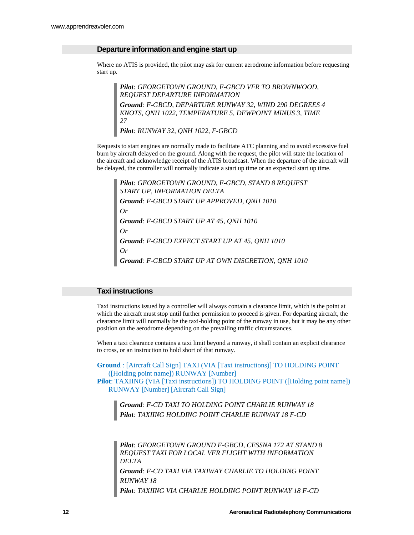#### **Departure information and engine start up**

Where no ATIS is provided, the pilot may ask for current aerodrome information before requesting start up.

*Pilot: GEORGETOWN GROUND, F-GBCD VFR TO BROWNWOOD, REQUEST DEPARTURE INFORMATION Ground: F-GBCD, DEPARTURE RUNWAY 32, WIND 290 DEGREES 4 KNOTS, QNH 1022, TEMPERATURE 5, DEWPOINT MINUS 3, TIME 27 Pilot: RUNWAY 32, QNH 1022, F-GBCD* 

Requests to start engines are normally made to facilitate ATC planning and to avoid excessive fuel burn by aircraft delayed on the ground. Along with the request, the pilot will state the location of the aircraft and acknowledge receipt of the ATIS broadcast. When the departure of the aircraft will be delayed, the controller will normally indicate a start up time or an expected start up time.

*Pilot: GEORGETOWN GROUND, F-GBCD, STAND 8 REQUEST START UP, INFORMATION DELTA Ground: F-GBCD START UP APPROVED, QNH 1010 Or Ground: F-GBCD START UP AT 45, QNH 1010 Or Ground: F-GBCD EXPECT START UP AT 45, QNH 1010 Or Ground: F-GBCD START UP AT OWN DISCRETION, QNH 1010* 

#### **Taxi instructions**

Taxi instructions issued by a controller will always contain a clearance limit, which is the point at which the aircraft must stop until further permission to proceed is given. For departing aircraft, the clearance limit will normally be the taxi-holding point of the runway in use, but it may be any other position on the aerodrome depending on the prevailing traffic circumstances.

When a taxi clearance contains a taxi limit beyond a runway, it shall contain an explicit clearance to cross, or an instruction to hold short of that runway.

**Ground** : [Aircraft Call Sign] TAXI (VIA [Taxi instructions)] TO HOLDING POINT ([Holding point name]) RUNWAY [Number] **Pilot**: TAXIING (VIA [Taxi instructions]) TO HOLDING POINT ([Holding point name]) RUNWAY [Number] [Aircraft Call Sign]

*Ground: F-CD TAXI TO HOLDING POINT CHARLIE RUNWAY 18 Pilot: TAXIING HOLDING POINT CHARLIE RUNWAY 18 F-CD*

*Pilot: GEORGETOWN GROUND F-GBCD, CESSNA 172 AT STAND 8 REQUEST TAXI FOR LOCAL VFR FLIGHT WITH INFORMATION DELTA Ground: F-CD TAXI VIA TAXIWAY CHARLIE TO HOLDING POINT RUNWAY 18 Pilot: TAXIING VIA CHARLIE HOLDING POINT RUNWAY 18 F-CD*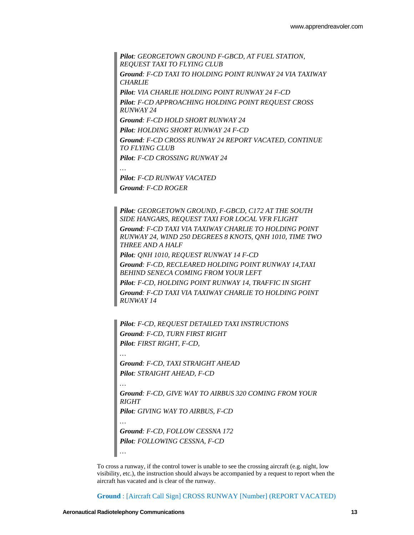*Pilot: GEORGETOWN GROUND F-GBCD, AT FUEL STATION, REQUEST TAXI TO FLYING CLUB Ground: F-CD TAXI TO HOLDING POINT RUNWAY 24 VIA TAXIWAY CHARLIE Pilot: VIA CHARLIE HOLDING POINT RUNWAY 24 F-CD Pilot: F-CD APPROACHING HOLDING POINT REQUEST CROSS RUNWAY 24 Ground: F-CD HOLD SHORT RUNWAY 24 Pilot: HOLDING SHORT RUNWAY 24 F-CD Ground: F-CD CROSS RUNWAY 24 REPORT VACATED, CONTINUE TO FLYING CLUB Pilot: F-CD CROSSING RUNWAY 24 … Pilot: F-CD RUNWAY VACATED*

*Pilot: GEORGETOWN GROUND, F-GBCD, C172 AT THE SOUTH SIDE HANGARS, REQUEST TAXI FOR LOCAL VFR FLIGHT Ground: F-CD TAXI VIA TAXIWAY CHARLIE TO HOLDING POINT RUNWAY 24, WIND 250 DEGREES 8 KNOTS, QNH 1010, TIME TWO THREE AND A HALF Pilot: QNH 1010, REQUEST RUNWAY 14 F-CD Ground: F-CD, RECLEARED HOLDING POINT RUNWAY 14,TAXI BEHIND SENECA COMING FROM YOUR LEFT Pilot: F-CD, HOLDING POINT RUNWAY 14, TRAFFIC IN SIGHT Ground: F-CD TAXI VIA TAXIWAY CHARLIE TO HOLDING POINT RUNWAY 14* 

*Pilot: F-CD, REQUEST DETAILED TAXI INSTRUCTIONS Ground: F-CD, TURN FIRST RIGHT Pilot: FIRST RIGHT, F-CD,* 

*Ground: F-CD, TAXI STRAIGHT AHEAD Pilot: STRAIGHT AHEAD, F-CD* 

*Ground: F-CD ROGER* 

*Ground: F-CD, GIVE WAY TO AIRBUS 320 COMING FROM YOUR RIGHT Pilot: GIVING WAY TO AIRBUS, F-CD* 

*Ground: F-CD, FOLLOW CESSNA 172 Pilot: FOLLOWING CESSNA, F-CD* 

*…* 

*…* 

*…* 

*…* 

To cross a runway, if the control tower is unable to see the crossing aircraft (e.g. night, low visibility, etc.), the instruction should always be accompanied by a request to report when the aircraft has vacated and is clear of the runway.

**Ground** : [Aircraft Call Sign] CROSS RUNWAY [Number] (REPORT VACATED)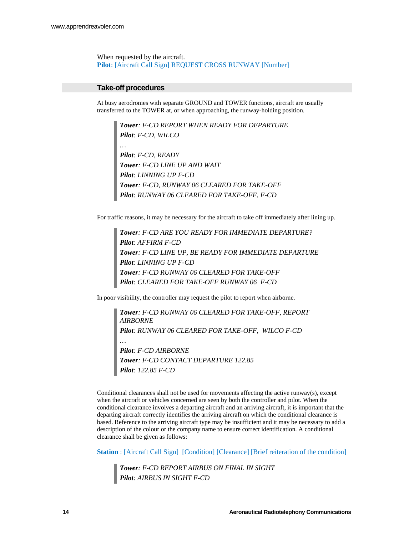When requested by the aircraft. **Pilot**: [Aircraft Call Sign] REQUEST CROSS RUNWAY [Number]

#### **Take-off procedures**

At busy aerodromes with separate GROUND and TOWER functions, aircraft are usually transferred to the TOWER at, or when approaching, the runway-holding position.

*Tower: F-CD REPORT WHEN READY FOR DEPARTURE Pilot: F-CD, WILCO … Pilot: F-CD, READY Tower: F-CD LINE UP AND WAIT Pilot: LINNING UP F-CD Tower: F-CD, RUNWAY 06 CLEARED FOR TAKE-OFF Pilot: RUNWAY 06 CLEARED FOR TAKE-OFF, F-CD* 

For traffic reasons, it may be necessary for the aircraft to take off immediately after lining up.

*Tower: F-CD ARE YOU READY FOR IMMEDIATE DEPARTURE? Pilot: AFFIRM F-CD Tower: F-CD LINE UP, BE READY FOR IMMEDIATE DEPARTURE Pilot: LINNING UP F-CD Tower: F-CD RUNWAY 06 CLEARED FOR TAKE-OFF Pilot: CLEARED FOR TAKE-OFF RUNWAY 06 F-CD* 

In poor visibility, the controller may request the pilot to report when airborne.

*Tower: F-CD RUNWAY 06 CLEARED FOR TAKE-OFF, REPORT AIRBORNE Pilot: RUNWAY 06 CLEARED FOR TAKE-OFF, WILCO F-CD Pilot: F-CD AIRBORNE Tower: F-CD CONTACT DEPARTURE 122.85 Pilot: 122.85 F-CD* 

Conditional clearances shall not be used for movements affecting the active runway(s), except when the aircraft or vehicles concerned are seen by both the controller and pilot. When the conditional clearance involves a departing aircraft and an arriving aircraft, it is important that the departing aircraft correctly identifies the arriving aircraft on which the conditional clearance is based. Reference to the arriving aircraft type may be insufficient and it may be necessary to add a description of the colour or the company name to ensure correct identification. A conditional clearance shall be given as follows:

**Station** : [Aircraft Call Sign] [Condition] [Clearance] [Brief reiteration of the condition]

*Tower: F-CD REPORT AIRBUS ON FINAL IN SIGHT Pilot: AIRBUS IN SIGHT F-CD*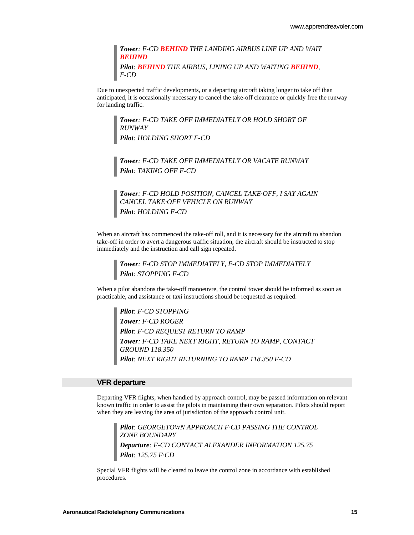*Tower: F-CD BEHIND THE LANDING AIRBUS LINE UP AND WAIT BEHIND Pilot: BEHIND THE AIRBUS, LINING UP AND WAITING BEHIND, F-CD* 

Due to unexpected traffic developments, or a departing aircraft taking longer to take off than anticipated, it is occasionally necessary to cancel the take-off clearance or quickly free the runway for landing traffic.

*Tower: F-CD TAKE OFF IMMEDIATELY OR HOLD SHORT OF RUNWAY Pilot: HOLDING SHORT F-CD* 

*Tower: F-CD TAKE OFF IMMEDIATELY OR VACATE RUNWAY Pilot: TAKING OFF F-CD* 

*Tower: F-CD HOLD POSITION, CANCEL TAKE·OFF, I SAY AGAIN CANCEL TAKE·OFF VEHICLE ON RUNWAY Pilot: HOLDING F-CD* 

When an aircraft has commenced the take-off roll, and it is necessary for the aircraft to abandon take-off in order to avert a dangerous traffic situation, the aircraft should be instructed to stop immediately and the instruction and call sign repeated.

*Tower: F-CD STOP IMMEDIATELY, F-CD STOP IMMEDIATELY Pilot: STOPPING F-CD* 

When a pilot abandons the take-off manoeuvre, the control tower should be informed as soon as practicable, and assistance or taxi instructions should be requested as required.

*Pilot: F-CD STOPPING Tower: F-CD ROGER Pilot: F-CD REQUEST RETURN TO RAMP Tower: F-CD TAKE NEXT RIGHT, RETURN TO RAMP, CONTACT GROUND 118.350 Pilot: NEXT RIGHT RETURNING TO RAMP 118.350 F-CD* 

#### **VFR departure**

Departing VFR flights, when handled by approach control, may be passed information on relevant known traffic in order to assist the pilots in maintaining their own separation. Pilots should report when they are leaving the area of jurisdiction of the approach control unit.

*Pilot: GEORGETOWN APPROACH F·CD PASSING THE CONTROL ZONE BOUNDARY Departure: F-CD CONTACT ALEXANDER INFORMATION 125.75 Pilot: 125.75 F·CD* 

Special VFR flights will be cleared to leave the control zone in accordance with established procedures.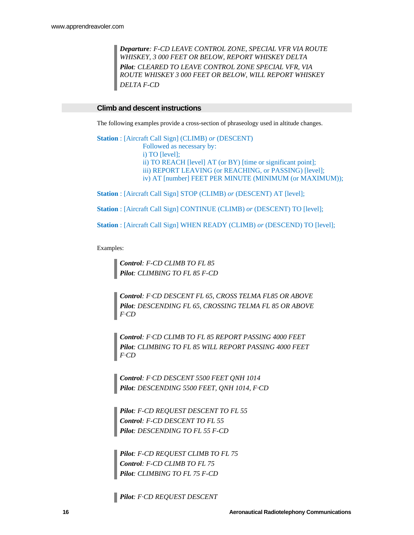*Departure: F-CD LEAVE CONTROL ZONE, SPECIAL VFR VIA ROUTE WHISKEY, 3 000 FEET OR BELOW, REPORT WHISKEY DELTA Pilot: CLEARED TO LEAVE CONTROL ZONE SPECIAL VFR, VIA ROUTE WHISKEY 3 000 FEET OR BELOW, WILL REPORT WHISKEY DELTA F-CD* 

#### **Climb and descent instructions**

The following examples provide a cross-section of phraseology used in altitude changes.

**Station** : [Aircraft Call Sign] (CLIMB) *or* (DESCENT) Followed as necessary by: i) TO [level]; ii) TO REACH [level] AT (or BY) [time or significant point]; iii) REPORT LEAVING (or REACHING, or PASSING) [level]; iv) AT [number] FEET PER MINUTE (MINIMUM (or MAXIMUM));

**Station** : [Aircraft Call Sign] STOP (CLIMB) *or* (DESCENT) AT [level];

**Station** : [Aircraft Call Sign] CONTINUE (CLIMB) *or* (DESCENT) TO [level];

**Station** : [Aircraft Call Sign] WHEN READY (CLIMB) *or* (DESCEND) TO [level];

Examples:

*Control: F-CD CLIMB TO FL 85 Pilot: CLIMBING TO FL 85 F-CD* 

*Control: F·CD DESCENT FL 65, CROSS TELMA FL85 OR ABOVE Pilot: DESCENDING FL 65, CROSSING TELMA FL 85 OR ABOVE F·CD* 

*Control: F·CD CLIMB TO FL 85 REPORT PASSING 4000 FEET Pilot: CLIMBING TO FL 85 WILL REPORT PASSING 4000 FEET F·CD* 

*Control: F·CD DESCENT 5500 FEET QNH 1014 Pilot: DESCENDING 5500 FEET, QNH 1014, F·CD* 

*Pilot: F-CD REQUEST DESCENT TO FL 55 Control: F-CD DESCENT TO FL 55 Pilot: DESCENDING TO FL 55 F-CD* 

*Pilot: F-CD REQUEST CLIMB TO FL 75 Control: F-CD CLIMB TO FL 75 Pilot: CLIMBING TO FL 75 F-CD* 

*Pilot: F·CD REQUEST DESCENT*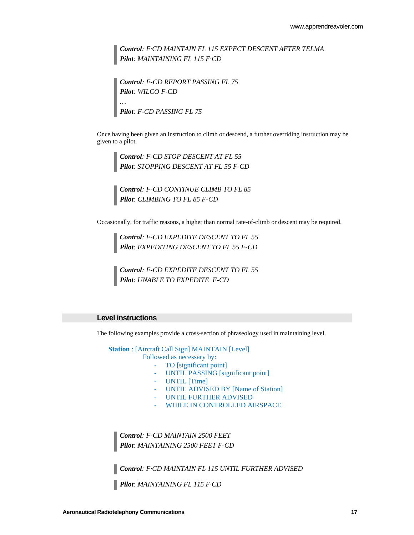*Control: F·CD MAINTAIN FL 115 EXPECT DESCENT AFTER TELMA Pilot: MAINTAINING FL 115 F·CD* 

*Control: F-CD REPORT PASSING FL 75 Pilot: WILCO F-CD … Pilot: F-CD PASSING FL 75* 

Once having been given an instruction to climb or descend, a further overriding instruction may be given to a pilot.

*Control: F-CD STOP DESCENT AT FL 55 Pilot: STOPPING DESCENT AT FL 55 F-CD* 

*Control: F-CD CONTINUE CLIMB TO FL 85 Pilot: CLIMBING TO FL 85 F-CD* 

Occasionally, for traffic reasons, a higher than normal rate-of-climb or descent may be required.

*Control: F-CD EXPEDITE DESCENT TO FL 55 Pilot: EXPEDITING DESCENT TO FL 55 F-CD* 

*Control: F-CD EXPEDITE DESCENT TO FL 55 Pilot: UNABLE TO EXPEDITE F-CD* 

#### **Level instructions**

The following examples provide a cross-section of phraseology used in maintaining level.

**Station** : [Aircraft Call Sign] MAINTAIN [Level]

Followed as necessary by:

- TO [significant point]
- UNTIL PASSING [significant point]
- UNTIL [Time]
- UNTIL ADVISED BY [Name of Station]
- UNTIL FURTHER ADVISED
- WHILE IN CONTROLLED AIRSPACE

*Control: F-CD MAINTAIN 2500 FEET Pilot: MAINTAINING 2500 FEET F-CD* 

*Control: F·CD MAINTAIN FL 115 UNTIL FURTHER ADVISED* 

*Pilot: MAINTAINING FL 115 F·CD*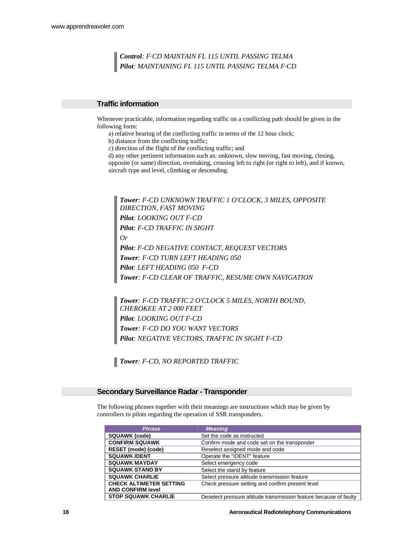*Control: F·CD MAINTAIN FL 115 UNTIL PASSING TELMA Pilot: MAINTAINING FL 115 UNTIL PASSING TELMA F·CD* 

#### **Traffic information**

Whenever practicable, information regarding traffic on a conflicting path should be given in the following form:

a) relative bearing of the conflicting traffic in terms of the 12 hour clock;

b) distance from the conflicting traffic;

c) direction of the flight of the conflicting traffic; and

d) any other pertinent information such as: unknown, slow moving, fast moving, closing, opposite (or same) direction, overtaking, crossing left to right (or right to left), and if known, aircraft type and level, climbing or descending.

*Tower: F-CD UNKNOWN TRAFFIC 1 O'CLOCK, 3 MILES, OPPOSITE DIRECTION, FAST MOVING Pilot: LOOKING OUT F-CD Pilot: F-CD TRAFFIC IN SIGHT Or Pilot: F-CD NEGATIVE CONTACT, REQUEST VECTORS Tower: F-CD TURN LEFT HEADING 050 Pilot: LEFT HEADING 050 F-CD Tower: F-CD CLEAR OF TRAFFIC, RESUME OWN NAVIGATION* 

*Tower: F-CD TRAFFIC 2 O'CLOCK 5 MILES, NORTH BOUND, CHEROKEE AT 2 000 FEET Pilot: LOOKING OUT F-CD Tower: F-CD DO YOU WANT VECTORS Pilot: NEGATIVE VECTORS, TRAFFIC IN SIGHT F-CD* 

*Tower: F-CD, NO REPORTED TRAFFIC* 

#### **Secondary Surveillance Radar - Transponder**

The following phrases together with their meanings are instructions which may be given by controllers to pilots regarding the operation of SSR transponders.

| <b>Phrase</b>                  | <b>Meaning</b>                                                    |
|--------------------------------|-------------------------------------------------------------------|
| <b>SQUAWK (code)</b>           | Set the code as instructed                                        |
| <b>CONFIRM SQUAWK</b>          | Confirm mode and code set on the transponder                      |
| RESET (mode) (code)            | Reselect assigned mode and code                                   |
| <b>SQUAWK IDENT</b>            | Operate the "IDENT" feature                                       |
| <b>SQUAWK MAYDAY</b>           | Select emergency code                                             |
| <b>SQUAWK STAND BY</b>         | Select the stand by feature                                       |
| <b>SQUAWK CHARLIE</b>          | Select pressure altitude transmission feature                     |
| <b>CHECK ALTIMETER SETTING</b> | Check pressure setting and confirm present level                  |
| <b>AND CONFIRM level</b>       |                                                                   |
| <b>STOP SQUAWK CHARLIE</b>     | Deselect pressure altitude transmission feature because of faulty |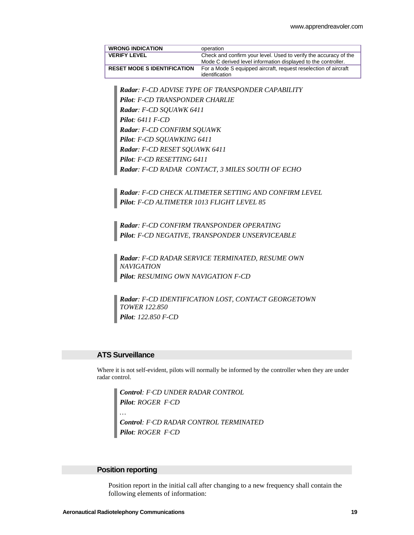| <b>WRONG INDICATION</b>            | operation                                                                                                                         |
|------------------------------------|-----------------------------------------------------------------------------------------------------------------------------------|
| <b>VERIFY LEVEL</b>                | Check and confirm your level. Used to verify the accuracy of the<br>Mode C derived level information displayed to the controller. |
| <b>RESET MODE S IDENTIFICATION</b> | For a Mode S equipped aircraft, request reselection of aircraft<br>identification                                                 |

*Radar: F-CD ADVISE TYPE OF TRANSPONDER CAPABILITY Pilot: F-CD TRANSPONDER CHARLIE Radar: F-CD SQUAWK 6411 Pilot: 6411 F-CD Radar: F-CD CONFIRM SQUAWK Pilot: F-CD SQUAWKING 6411 Radar: F-CD RESET SQUAWK 6411 Pilot: F-CD RESETTING 6411 Radar: F-CD RADAR CONTACT, 3 MILES SOUTH OF ECHO* 

*Radar: F-CD CHECK ALTIMETER SETTING AND CONFIRM LEVEL Pilot: F-CD ALTIMETER 1013 FLIGHT LEVEL 85* 

*Radar: F-CD CONFIRM TRANSPONDER OPERATING Pilot: F-CD NEGATIVE, TRANSPONDER UNSERVICEABLE* 

*Radar: F-CD RADAR SERVICE TERMINATED, RESUME OWN NAVIGATION Pilot: RESUMING OWN NAVIGATION F-CD* 

*Radar: F-CD IDENTIFICATION LOST, CONTACT GEORGETOWN TOWER 122.850 Pilot: 122.850 F-CD* 

#### **ATS Surveillance**

Where it is not self-evident, pilots will normally be informed by the controller when they are under radar control.

*Control: F·CD UNDER RADAR CONTROL Pilot: ROGER F·CD … Control: F·CD RADAR CONTROL TERMINATED Pilot: ROGER F·CD* 

#### **Position reporting**

Position report in the initial call after changing to a new frequency shall contain the following elements of information: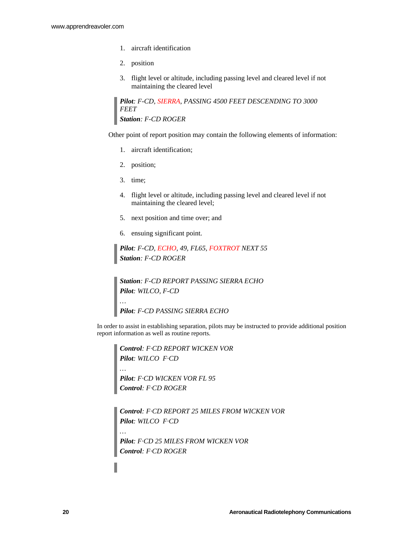- 1. aircraft identification
- 2. position
- 3. flight level or altitude, including passing level and cleared level if not maintaining the cleared level

*Pilot: F-CD, SIERRA, PASSING 4500 FEET DESCENDING TO 3000 FEET Station: F-CD ROGER* 

Other point of report position may contain the following elements of information:

- 1. aircraft identification;
- 2. position;
- 3. time;

*…* 

- 4. flight level or altitude, including passing level and cleared level if not maintaining the cleared level;
- 5. next position and time over; and
- 6. ensuing significant point.

*Pilot: F-CD, ECHO, 49, FL65, FOXTROT NEXT 55 Station: F-CD ROGER* 

*Station: F-CD REPORT PASSING SIERRA ECHO Pilot: WILCO, F-CD … Pilot: F-CD PASSING SIERRA ECHO* 

In order to assist in establishing separation, pilots may be instructed to provide additional position report information as well as routine reports.

*Control: F·CD REPORT WICKEN VOR Pilot: WILCO F·CD … Pilot: F·CD WICKEN VOR FL 95 Control: F·CD ROGER* 

*Control: F·CD REPORT 25 MILES FROM WICKEN VOR Pilot: WILCO F·CD* 

*Pilot: F·CD 25 MILES FROM WICKEN VOR Control: F·CD ROGER*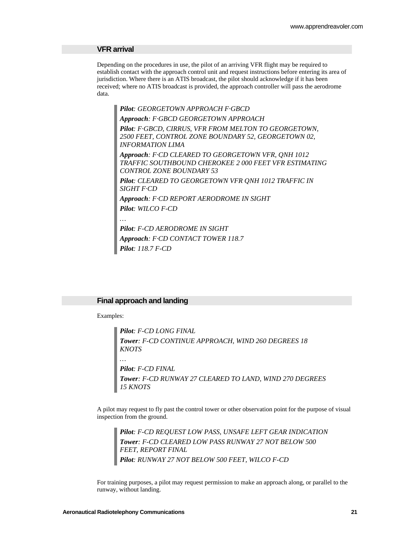#### **VFR arrival**

Depending on the procedures in use, the pilot of an arriving VFR flight may be required to establish contact with the approach control unit and request instructions before entering its area of jurisdiction. Where there is an ATIS broadcast, the pilot should acknowledge if it has been received; where no ATIS broadcast is provided, the approach controller will pass the aerodrome data.

*Pilot: GEORGETOWN APPROACH F·GBCD Approach: F·GBCD GEORGETOWN APPROACH Pilot: F·GBCD, CIRRUS, VFR FROM MELTON TO GEORGETOWN, 2500 FEET, CONTROL ZONE BOUNDARY 52, GEORGETOWN 02, INFORMATION LIMA Approach: F·CD CLEARED TO GEORGETOWN VFR, QNH 1012 TRAFFIC SOUTHBOUND CHEROKEE 2 000 FEET VFR ESTIMATING CONTROL ZONE BOUNDARY 53 Pilot: CLEARED TO GEORGETOWN VFR QNH 1012 TRAFFIC IN SIGHT F·CD Approach: F·CD REPORT AERODROME IN SIGHT Pilot: WILCO F-CD …* 

*Pilot: F-CD AERODROME IN SIGHT Approach: F·CD CONTACT TOWER 118.7 Pilot: 118.7 F-CD* 

#### **Final approach and landing**

Examples:

*Pilot: F-CD LONG FINAL Tower: F-CD CONTINUE APPROACH, WIND 260 DEGREES 18 KNOTS … Pilot: F-CD FINAL Tower: F-CD RUNWAY 27 CLEARED TO LAND, WIND 270 DEGREES 15 KNOTS* 

A pilot may request to fly past the control tower or other observation point for the purpose of visual inspection from the ground.

*Pilot: F-CD REQUEST LOW PASS, UNSAFE LEFT GEAR INDICATION Tower: F-CD CLEARED LOW PASS RUNWAY 27 NOT BELOW 500 FEET, REPORT FINAL Pilot: RUNWAY 27 NOT BELOW 500 FEET, WILCO F-CD* 

For training purposes, a pilot may request permission to make an approach along, or parallel to the runway, without landing.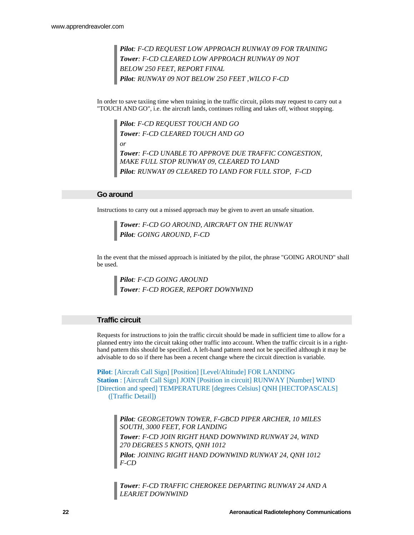*Pilot: F-CD REQUEST LOW APPROACH RUNWAY 09 FOR TRAINING Tower: F-CD CLEARED LOW APPROACH RUNWAY 09 NOT BELOW 250 FEET, REPORT FINAL Pilot: RUNWAY 09 NOT BELOW 250 FEET ,WILCO F-CD* 

In order to save taxiing time when training in the traffic circuit, pilots may request to carry out a "TOUCH AND GO", i.e. the aircraft lands, continues rolling and takes off, without stopping.

*Pilot: F-CD REQUEST TOUCH AND GO Tower: F-CD CLEARED TOUCH AND GO or Tower: F-CD UNABLE TO APPROVE DUE TRAFFIC CONGESTION, MAKE FULL STOP RUNWAY 09, CLEARED TO LAND Pilot: RUNWAY 09 CLEARED TO LAND FOR FULL STOP, F-CD* 

#### **Go around**

Instructions to carry out a missed approach may be given to avert an unsafe situation.

*Tower: F-CD GO AROUND, AIRCRAFT ON THE RUNWAY Pilot: GOING AROUND, F-CD* 

In the event that the missed approach is initiated by the pilot, the phrase "GOING AROUND" shall be used.

*Pilot: F-CD GOING AROUND Tower: F-CD ROGER, REPORT DOWNWIND*

#### **Traffic circuit**

Requests for instructions to join the traffic circuit should be made in sufficient time to allow for a planned entry into the circuit taking other traffic into account. When the traffic circuit is in a righthand pattern this should be specified. A left-hand pattern need not be specified although it may be advisable to do so if there has been a recent change where the circuit direction is variable.

**Pilot**: [Aircraft Call Sign] [Position] [Level/Altitude] FOR LANDING **Station** : [Aircraft Call Sign] JOIN [Position in circuit] RUNWAY [Number] WIND [Direction and speed] TEMPERATURE [degrees Celsius] QNH [HECTOPASCALS] ([Traffic Detail])

*Pilot: GEORGETOWN TOWER, F-GBCD PIPER ARCHER, 10 MILES SOUTH, 3000 FEET, FOR LANDING Tower: F-CD JOIN RIGHT HAND DOWNWIND RUNWAY 24, WIND 270 DEGREES 5 KNOTS, QNH 1012 Pilot: JOINING RIGHT HAND DOWNWIND RUNWAY 24, QNH 1012 F-CD* 

*Tower: F-CD TRAFFIC CHEROKEE DEPARTING RUNWAY 24 AND A LEARJET DOWNWIND*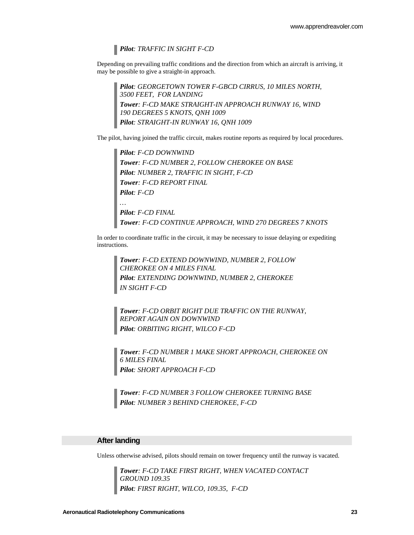*Pilot: TRAFFIC IN SIGHT F-CD* 

Depending on prevailing traffic conditions and the direction from which an aircraft is arriving, it may be possible to give a straight-in approach.

*Pilot: GEORGETOWN TOWER F-GBCD CIRRUS, 10 MILES NORTH, 3500 FEET, FOR LANDING Tower: F-CD MAKE STRAIGHT-IN APPROACH RUNWAY 16, WIND 190 DEGREES 5 KNOTS, QNH 1009 Pilot: STRAIGHT-IN RUNWAY 16, QNH 1009* 

The pilot, having joined the traffic circuit, makes routine reports as required by local procedures.

*Pilot: F-CD DOWNWIND Tower: F-CD NUMBER 2, FOLLOW CHEROKEE ON BASE Pilot: NUMBER 2, TRAFFIC IN SIGHT, F-CD Tower: F-CD REPORT FINAL Pilot: F-CD … Pilot: F-CD FINAL Tower: F-CD CONTINUE APPROACH, WIND 270 DEGREES 7 KNOTS* 

In order to coordinate traffic in the circuit, it may be necessary to issue delaying or expediting instructions.

*Tower: F-CD EXTEND DOWNWIND, NUMBER 2, FOLLOW CHEROKEE ON 4 MILES FINAL Pilot: EXTENDING DOWNWIND, NUMBER 2, CHEROKEE IN SIGHT F-CD* 

*Tower: F-CD ORBIT RIGHT DUE TRAFFIC ON THE RUNWAY, REPORT AGAIN ON DOWNWIND Pilot: ORBITING RIGHT, WILCO F-CD* 

*Tower: F-CD NUMBER 1 MAKE SHORT APPROACH, CHEROKEE ON 6 MILES FINAL Pilot: SHORT APPROACH F-CD* 

*Tower: F-CD NUMBER 3 FOLLOW CHEROKEE TURNING BASE Pilot: NUMBER 3 BEHIND CHEROKEE, F-CD* 

#### **After landing**

Unless otherwise advised, pilots should remain on tower frequency until the runway is vacated.

*Tower: F-CD TAKE FIRST RIGHT, WHEN VACATED CONTACT GROUND 109.35 Pilot: FIRST RIGHT, WILCO, 109.35, F-CD*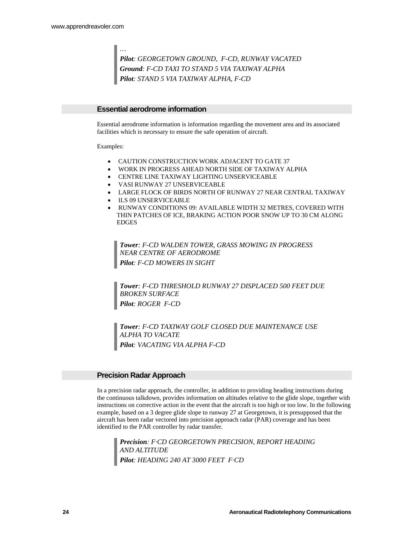*Pilot: GEORGETOWN GROUND, F-CD, RUNWAY VACATED Ground: F-CD TAXI TO STAND 5 VIA TAXIWAY ALPHA Pilot: STAND 5 VIA TAXIWAY ALPHA, F-CD* 

#### **Essential aerodrome information**

Essential aerodrome information is information regarding the movement area and its associated facilities which is necessary to ensure the safe operation of aircraft.

Examples:

*…* 

- CAUTION CONSTRUCTION WORK ADJACENT TO GATE 37
- WORK IN PROGRESS AHEAD NORTH SIDE OF TAXIWAY ALPHA
- CENTRE LINE TAXIWAY LIGHTING UNSERVICEABLE
- VASI RUNWAY 27 UNSERVICEABLE
- LARGE FLOCK OF BIRDS NORTH OF RUNWAY 27 NEAR CENTRAL TAXIWAY
- ILS 09 UNSERVICEABLE
- RUNWAY CONDITIONS 09: AVAILABLE WIDTH 32 METRES, COVERED WITH THIN PATCHES OF ICE, BRAKING ACTION POOR SNOW UP TO 30 CM ALONG EDGES

*Tower: F-CD WALDEN TOWER, GRASS MOWING IN PROGRESS NEAR CENTRE OF AERODROME Pilot: F-CD MOWERS IN SIGHT* 

*Tower: F-CD THRESHOLD RUNWAY 27 DISPLACED 500 FEET DUE BROKEN SURFACE Pilot: ROGER F-CD* 

*Tower: F-CD TAXIWAY GOLF CLOSED DUE MAINTENANCE USE ALPHA TO VACATE Pilot: VACATING VIA ALPHA F-CD* 

#### **Precision Radar Approach**

In a precision radar approach, the controller, in addition to providing heading instructions during the continuous talkdown, provides information on altitudes relative to the glide slope, together with instructions on corrective action in the event that the aircraft is too high or too low. In the following example, based on a 3 degree glide slope to runway 27 at Georgetown, it is presupposed that the aircraft has been radar vectored into precision approach radar (PAR) coverage and has been identified to the PAR controller by radar transfer.

*Precision: F·CD GEORGETOWN PRECISION, REPORT HEADING AND ALTITUDE Pilot: HEADING 240 AT 3000 FEET F·CD*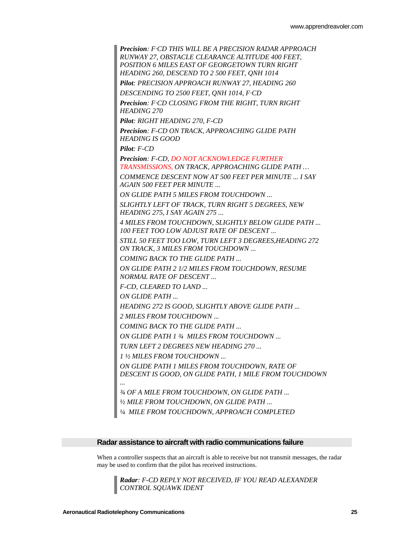*Precision: F·CD THIS WILL BE A PRECISION RADAR APPROACH RUNWAY 27, OBSTACLE CLEARANCE ALTITUDE 400 FEET, POSITION 6 MILES EAST OF GEORGETOWN TURN RIGHT HEADING 260, DESCEND TO 2 500 FEET, QNH 1014 Pilot: PRECISION APPROACH RUNWAY 27, HEADING 260 DESCENDING TO 2500 FEET, QNH 1014, F·CD Precision: F·CD CLOSING FROM THE RIGHT, TURN RIGHT HEADING 270 Pilot: RIGHT HEADING 270, F-CD Precision: F-CD ON TRACK, APPROACHING GLIDE PATH HEADING IS GOOD Pilot: F-CD Precision: F-CD, DO NOT ACKNOWLEDGE FURTHER TRANSMISSIONS, ON TRACK, APPROACHING GLIDE PATH … COMMENCE DESCENT NOW AT 500 FEET PER MINUTE ... I SAY AGAIN 500 FEET PER MINUTE ... ON GLIDE PATH 5 MILES FROM TOUCHDOWN ... SLIGHTLY LEFT OF TRACK, TURN RIGHT 5 DEGREES, NEW HEADING 275, I SAY AGAIN 275 ... 4 MILES FROM TOUCHDOWN, SLIGHTLY BELOW GLIDE PATH ... 100 FEET TOO LOW ADJUST RATE OF DESCENT ... STILL 50 FEET TOO LOW, TURN LEFT 3 DEGREES,HEADING 272 ON TRACK, 3 MILES FROM TOUCHDOWN ... COMING BACK TO THE GLIDE PATH ... ON GLIDE PATH 2 1/2 MILES FROM TOUCHDOWN, RESUME NORMAL RATE OF DESCENT ... F-CD, CLEARED TO LAND ... ON GLIDE PATH ... HEADING 272 IS GOOD, SLIGHTLY ABOVE GLIDE PATH ... 2 MILES FROM TOUCHDOWN ... COMING BACK TO THE GLIDE PATH ... ON GLIDE PATH 1 ¾ MILES FROM TOUCHDOWN ... TURN LEFT 2 DEGREES NEW HEADING 270 ... 1 ½ MILES FROM TOUCHDOWN ... ON GLIDE PATH 1 MILES FROM TOUCHDOWN, RATE OF DESCENT IS GOOD, ON GLIDE PATH, 1 MILE FROM TOUCHDOWN ... ¾ OF A MILE FROM TOUCHDOWN, ON GLIDE PATH ... ½ MILE FROM TOUCHDOWN, ON GLIDE PATH ... ¼ MILE FROM TOUCHDOWN, APPROACH COMPLETED* 

#### **Radar assistance to aircraft with radio communications failure**

When a controller suspects that an aircraft is able to receive but not transmit messages, the radar may be used to confirm that the pilot has received instructions.

*Radar: F-CD REPLY NOT RECEIVED, IF YOU READ ALEXANDER CONTROL SQUAWK IDENT*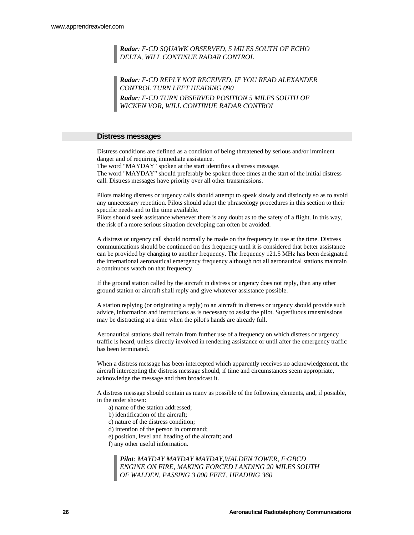#### *Radar: F-CD SQUAWK OBSERVED, 5 MILES SOUTH OF ECHO DELTA, WILL CONTINUE RADAR CONTROL*

*Radar: F-CD REPLY NOT RECEIVED, IF YOU READ ALEXANDER CONTROL TURN LEFT HEADING 090 Radar: F-CD TURN OBSERVED POSITION 5 MILES SOUTH OF WICKEN VOR, WILL CONTINUE RADAR CONTROL* 

#### **Distress messages**

Distress conditions are defined as a condition of being threatened by serious and/or imminent danger and of requiring immediate assistance.

The word "MAYDAY" spoken at the start identifies a distress message. The word "MAYDAY" should preferably be spoken three times at the start of the initial distress call. Distress messages have priority over all other transmissions.

Pilots making distress or urgency calls should attempt to speak slowly and distinctly so as to avoid any unnecessary repetition. Pilots should adapt the phraseology procedures in this section to their specific needs and to the time available.

Pilots should seek assistance whenever there is any doubt as to the safety of a flight. In this way, the risk of a more serious situation developing can often be avoided.

A distress or urgency call should normally be made on the frequency in use at the time. Distress communications should be continued on this frequency until it is considered that better assistance can be provided by changing to another frequency. The frequency 121.5 MHz has been designated the international aeronautical emergency frequency although not all aeronautical stations maintain a continuous watch on that frequency.

If the ground station called by the aircraft in distress or urgency does not reply, then any other ground station or aircraft shall reply and give whatever assistance possible.

A station replying (or originating a reply) to an aircraft in distress or urgency should provide such advice, information and instructions as is necessary to assist the pilot. Superfluous transmissions may be distracting at a time when the pilot's hands are already full.

Aeronautical stations shall refrain from further use of a frequency on which distress or urgency traffic is heard, unless directly involved in rendering assistance or until after the emergency traffic has been terminated.

When a distress message has been intercepted which apparently receives no acknowledgement, the aircraft intercepting the distress message should, if time and circumstances seem appropriate, acknowledge the message and then broadcast it.

A distress message should contain as many as possible of the following elements, and, if possible, in the order shown:

- a) name of the station addressed;
- b) identification of the aircraft;
- c) nature of the distress condition;
- d) intention of the person in command;
- e) position, level and heading of the aircraft; and
- f) any other useful information.

*Pilot: MAYDAY MAYDAY MAYDAY,WALDEN TOWER, F·GBCD ENGINE ON FIRE, MAKING FORCED LANDING 20 MILES SOUTH OF WALDEN, PASSING 3 000 FEET, HEADING 360*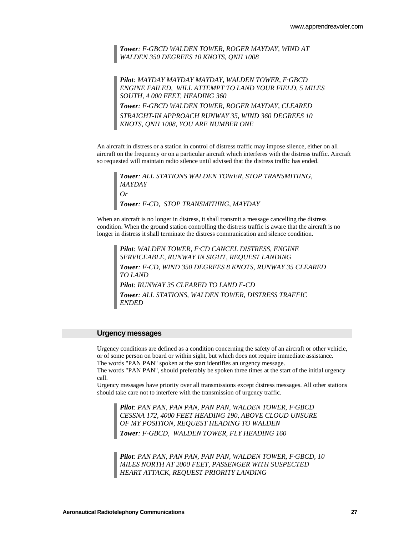*Tower: F-GBCD WALDEN TOWER, ROGER MAYDAY, WIND AT WALDEN 350 DEGREES 10 KNOTS, QNH 1008* 

*Pilot: MAYDAY MAYDAY MAYDAY, WALDEN TOWER, F·GBCD ENGINE FAILED, WILL ATTEMPT TO LAND YOUR FIELD, 5 MILES SOUTH, 4 000 FEET, HEADING 360* 

*Tower: F-GBCD WALDEN TOWER, ROGER MAYDAY, CLEARED STRAIGHT-IN APPROACH RUNWAY 35, WIND 360 DEGREES 10 KNOTS, QNH 1008, YOU ARE NUMBER ONE* 

An aircraft in distress or a station in control of distress traffic may impose silence, either on all aircraft on the frequency or on a particular aircraft which interferes with the distress traffic. Aircraft so requested will maintain radio silence until advised that the distress traffic has ended.

*Tower: ALL STATIONS WALDEN TOWER, STOP TRANSMITIING, MAYDAY Or Tower: F-CD, STOP TRANSMITIING, MAYDAY* 

When an aircraft is no longer in distress, it shall transmit a message cancelling the distress condition. When the ground station controlling the distress traffic is aware that the aircraft is no longer in distress it shall terminate the distress communication and silence condition.

*Pilot: WALDEN TOWER, F·CD CANCEL DISTRESS, ENGINE SERVICEABLE, RUNWAY IN SIGHT, REQUEST LANDING Tower: F-CD, WIND 350 DEGREES 8 KNOTS, RUNWAY 35 CLEARED TO LAND Pilot: RUNWAY 35 CLEARED TO LAND F-CD Tower: ALL STATIONS, WALDEN TOWER, DISTRESS TRAFFIC ENDED* 

#### **Urgency messages**

Urgency conditions are defined as a condition concerning the safety of an aircraft or other vehicle, or of some person on board or within sight, but which does not require immediate assistance. The words "PAN PAN" spoken at the start identifies an urgency message.

The words "PAN PAN", should preferably be spoken three times at the start of the initial urgency call.

Urgency messages have priority over all transmissions except distress messages. All other stations should take care not to interfere with the transmission of urgency traffic.

*Pilot: PAN PAN, PAN PAN, PAN PAN, WALDEN TOWER, F·GBCD CESSNA 172, 4000 FEET HEADING 190, ABOVE CLOUD UNSURE OF MY POSITION, REQUEST HEADING TO WALDEN Tower: F-GBCD, WALDEN TOWER, FLY HEADING 160* 

*Pilot: PAN PAN, PAN PAN, PAN PAN, WALDEN TOWER, F·GBCD, 10 MILES NORTH AT 2000 FEET, PASSENGER WITH SUSPECTED HEART ATTACK, REQUEST PRIORITY LANDING*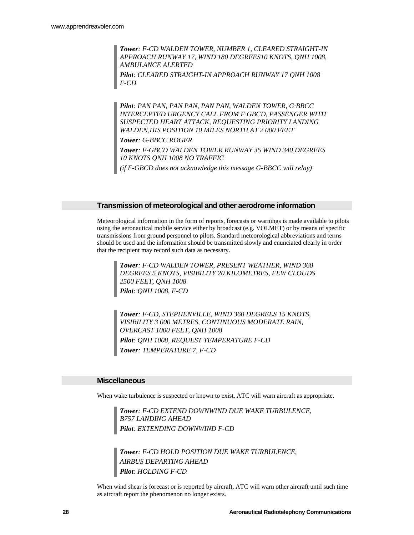*Tower: F-CD WALDEN TOWER, NUMBER 1, CLEARED STRAIGHT-IN APPROACH RUNWAY 17, WIND 180 DEGREES10 KNOTS, QNH 1008, AMBULANCE ALERTED* 

*Pilot: CLEARED STRAIGHT-IN APPROACH RUNWAY 17 QNH 1008 F-CD* 

*Pilot: PAN PAN, PAN PAN, PAN PAN, WALDEN TOWER, G·BBCC INTERCEPTED URGENCY CALL FROM F·GBCD, PASSENGER WITH SUSPECTED HEART ATTACK, REQUESTING PRIORITY LANDING WALDEN,HIS POSITION 10 MILES NORTH AT 2 000 FEET Tower: G-BBCC ROGER Tower: F-GBCD WALDEN TOWER RUNWAY 35 WIND 340 DEGREES 10 KNOTS QNH 1008 NO TRAFFIC* 

*(if F-GBCD does not acknowledge this message G-BBCC will relay)* 

#### **Transmission of meteorological and other aerodrome information**

Meteorological information in the form of reports, forecasts or warnings is made available to pilots using the aeronautical mobile service either by broadcast (e.g. VOLMET) or by means of specific transmissions from ground personnel to pilots. Standard meteorological abbreviations and terms should be used and the information should be transmitted slowly and enunciated clearly in order that the recipient may record such data as necessary.

*Tower: F-CD WALDEN TOWER, PRESENT WEATHER, WIND 360 DEGREES 5 KNOTS, VISIBILITY 20 KILOMETRES, FEW CLOUDS 2500 FEET, QNH 1008 Pilot: QNH 1008, F-CD* 

*Tower: F-CD, STEPHENVILLE, WIND 360 DEGREES 15 KNOTS, VISIBILITY 3 000 METRES, CONTINUOUS MODERATE RAIN, OVERCAST 1000 FEET, QNH 1008 Pilot: QNH 1008, REQUEST TEMPERATURE F-CD Tower: TEMPERATURE 7, F-CD* 

#### **Miscellaneous**

When wake turbulence is suspected or known to exist, ATC will warn aircraft as appropriate.

*Tower: F-CD EXTEND DOWNWIND DUE WAKE TURBULENCE, B757 LANDING AHEAD Pilot: EXTENDING DOWNWIND F-CD* 

*Tower: F-CD HOLD POSITION DUE WAKE TURBULENCE, AIRBUS DEPARTING AHEAD Pilot: HOLDING F-CD* 

When wind shear is forecast or is reported by aircraft, ATC will warn other aircraft until such time as aircraft report the phenomenon no longer exists.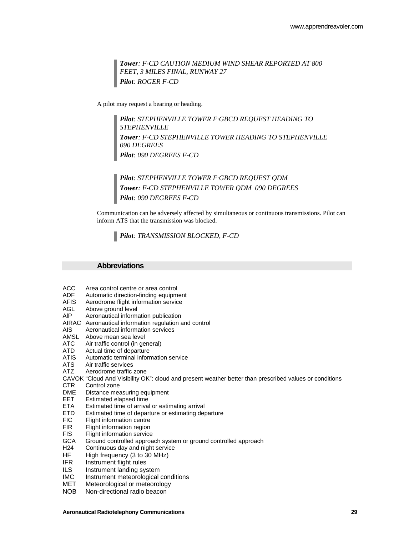*Tower: F-CD CAUTION MEDIUM WIND SHEAR REPORTED AT 800 FEET, 3 MILES FINAL, RUNWAY 27 Pilot: ROGER F-CD* 

A pilot may request a bearing or heading.

*Pilot: STEPHENVILLE TOWER F·GBCD REQUEST HEADING TO STEPHENVILLE Tower: F-CD STEPHENVILLE TOWER HEADING TO STEPHENVILLE 090 DEGREES Pilot: 090 DEGREES F-CD* 

*Pilot: STEPHENVILLE TOWER F·GBCD REQUEST QDM Tower: F-CD STEPHENVILLE TOWER QDM 090 DEGREES Pilot: 090 DEGREES F-CD* 

Communication can be adversely affected by simultaneous or continuous transmissions. Pilot can inform ATS that the transmission was blocked.

*Pilot: TRANSMISSION BLOCKED, F-CD* 

#### **Abbreviations**

- ACC Area control centre or area control
- ADF Automatic direction-finding equipment
- AFIS Aerodrome flight information service
- AGL Above ground level<br>AIP Aeronautical inform
- Aeronautical information publication
- AIRAC Aeronautical information regulation and control
- AIS Aeronautical information services
- AMSL Above mean sea level
- ATC Air traffic control (in general)
- ATD Actual time of departure<br>ATIS Automatic terminal inform
- ATIS Automatic terminal information service<br>ATS Air traffic services
- Air traffic services
- ATZ Aerodrome traffic zone
- CAVOK "Cloud And Visibility OK": cloud and present weather better than prescribed values or conditions
- CTR Control zone
- DME Distance measuring equipment
- EET Estimated elapsed time
- ETA Estimated time of arrival or estimating arrival
- ETD Estimated time of departure or estimating departure<br>FIC Flight information centre
- FIC Flight information centre<br>FIR Flight information region
- FIR Flight information region<br>FIS Flight information service
- Flight information service
- GCA Ground controlled approach system or ground controlled approach
- H24 Continuous day and night service
- HF High frequency (3 to 30 MHz)
- IFR Instrument flight rules
- ILS Instrument landing system
- IMC Instrument meteorological conditions
- MET Meteorological or meteorology
- NOB Non-directional radio beacon